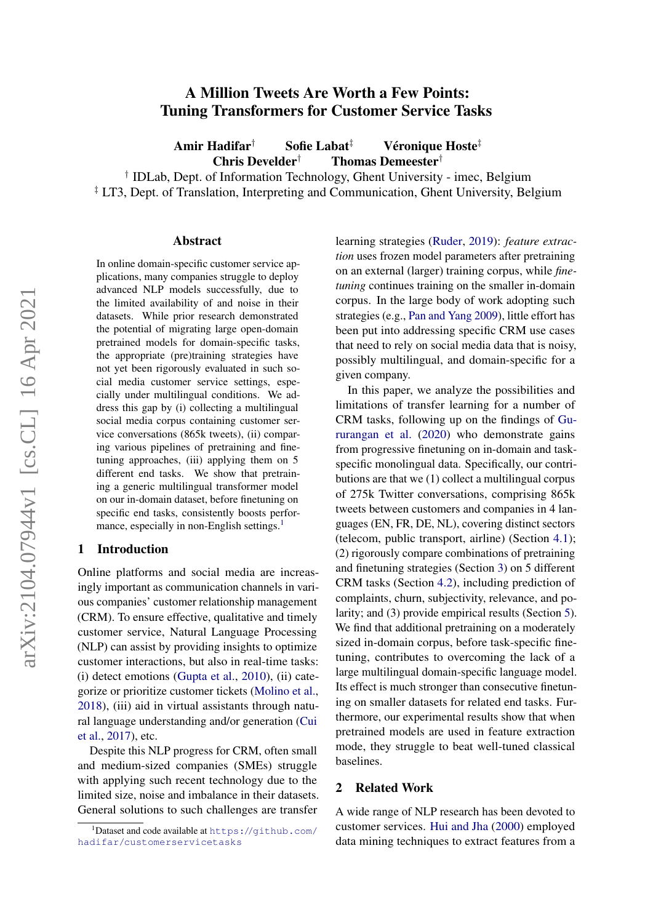# A Million Tweets Are Worth a Few Points: Tuning Transformers for Customer Service Tasks

Amir Hadifar $^\dagger$  Sofie Labat $^\ddagger$  Véronique Hoste $^\ddagger$ Chris Develder<sup>†</sup> Thomas Demeester<sup>†</sup>

† IDLab, Dept. of Information Technology, Ghent University - imec, Belgium <sup>‡</sup> LT3, Dept. of Translation, Interpreting and Communication, Ghent University, Belgium

#### Abstract

In online domain-specific customer service applications, many companies struggle to deploy advanced NLP models successfully, due to the limited availability of and noise in their datasets. While prior research demonstrated the potential of migrating large open-domain pretrained models for domain-specific tasks, the appropriate (pre)training strategies have not yet been rigorously evaluated in such social media customer service settings, especially under multilingual conditions. We address this gap by (i) collecting a multilingual social media corpus containing customer service conversations (865k tweets), (ii) comparing various pipelines of pretraining and finetuning approaches, (iii) applying them on 5 different end tasks. We show that pretraining a generic multilingual transformer model on our in-domain dataset, before finetuning on specific end tasks, consistently boosts perfor-mance, especially in non-English settings.<sup>[1](#page-0-0)</sup>

### 1 Introduction

Online platforms and social media are increasingly important as communication channels in various companies' customer relationship management (CRM). To ensure effective, qualitative and timely customer service, Natural Language Processing (NLP) can assist by providing insights to optimize customer interactions, but also in real-time tasks: (i) detect emotions [\(Gupta et al.,](#page-5-0) [2010\)](#page-5-0), (ii) categorize or prioritize customer tickets [\(Molino et al.,](#page-5-1) [2018\)](#page-5-1), (iii) aid in virtual assistants through natural language understanding and/or generation [\(Cui](#page-4-0) [et al.,](#page-4-0) [2017\)](#page-4-0), etc.

Despite this NLP progress for CRM, often small and medium-sized companies (SMEs) struggle with applying such recent technology due to the limited size, noise and imbalance in their datasets. General solutions to such challenges are transfer

learning strategies [\(Ruder,](#page-5-2) [2019\)](#page-5-2): *feature extraction* uses frozen model parameters after pretraining on an external (larger) training corpus, while *finetuning* continues training on the smaller in-domain corpus. In the large body of work adopting such strategies (e.g., [Pan and Yang](#page-5-3) [2009\)](#page-5-3), little effort has been put into addressing specific CRM use cases that need to rely on social media data that is noisy, possibly multilingual, and domain-specific for a given company.

In this paper, we analyze the possibilities and limitations of transfer learning for a number of CRM tasks, following up on the findings of [Gu](#page-5-4)[rurangan et al.](#page-5-4) [\(2020\)](#page-5-4) who demonstrate gains from progressive finetuning on in-domain and taskspecific monolingual data. Specifically, our contributions are that we (1) collect a multilingual corpus of 275k Twitter conversations, comprising 865k tweets between customers and companies in 4 languages (EN, FR, DE, NL), covering distinct sectors (telecom, public transport, airline) (Section [4.1\)](#page-1-0); (2) rigorously compare combinations of pretraining and finetuning strategies (Section [3\)](#page-1-1) on 5 different CRM tasks (Section [4.2\)](#page-2-0), including prediction of complaints, churn, subjectivity, relevance, and polarity; and (3) provide empirical results (Section [5\)](#page-3-0). We find that additional pretraining on a moderately sized in-domain corpus, before task-specific finetuning, contributes to overcoming the lack of a large multilingual domain-specific language model. Its effect is much stronger than consecutive finetuning on smaller datasets for related end tasks. Furthermore, our experimental results show that when pretrained models are used in feature extraction mode, they struggle to beat well-tuned classical baselines.

### 2 Related Work

A wide range of NLP research has been devoted to customer services. [Hui and Jha](#page-5-5) [\(2000\)](#page-5-5) employed data mining techniques to extract features from a

<span id="page-0-0"></span> $^1$ Dataset and code available at <code>[https://github.com/](https://github.com/hadifar/customerservicetasks)</code> [hadifar/customerservicetasks](https://github.com/hadifar/customerservicetasks)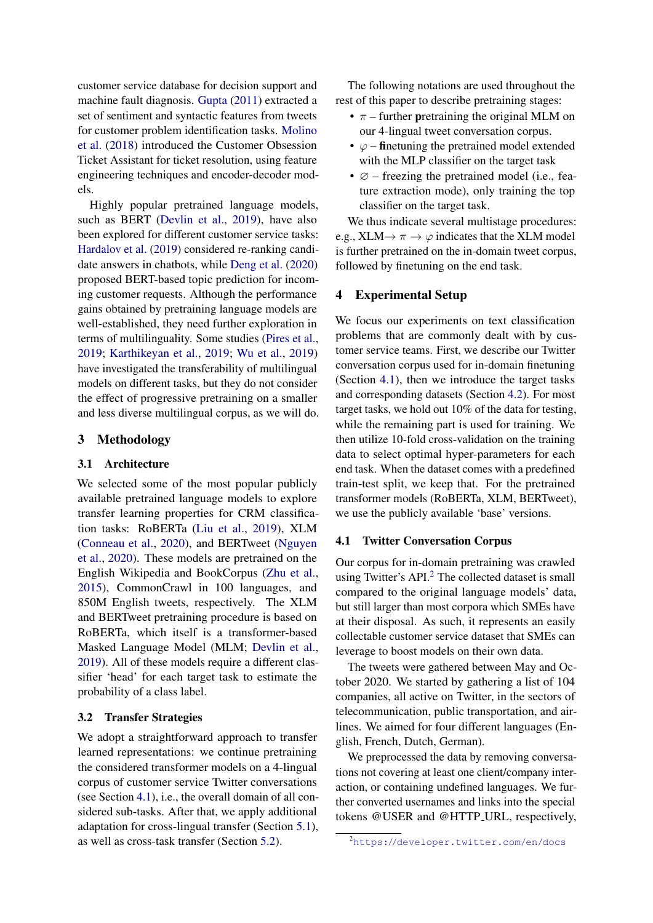customer service database for decision support and machine fault diagnosis. [Gupta](#page-5-6) [\(2011\)](#page-5-6) extracted a set of sentiment and syntactic features from tweets for customer problem identification tasks. [Molino](#page-5-1) [et al.](#page-5-1) [\(2018\)](#page-5-1) introduced the Customer Obsession Ticket Assistant for ticket resolution, using feature engineering techniques and encoder-decoder models.

Highly popular pretrained language models, such as BERT [\(Devlin et al.,](#page-4-1) [2019\)](#page-4-1), have also been explored for different customer service tasks: [Hardalov et al.](#page-5-7) [\(2019\)](#page-5-7) considered re-ranking candidate answers in chatbots, while [Deng et al.](#page-4-2) [\(2020\)](#page-4-2) proposed BERT-based topic prediction for incoming customer requests. Although the performance gains obtained by pretraining language models are well-established, they need further exploration in terms of multilinguality. Some studies [\(Pires et al.,](#page-5-8) [2019;](#page-5-8) [Karthikeyan et al.,](#page-5-9) [2019;](#page-5-9) [Wu et al.,](#page-5-10) [2019\)](#page-5-10) have investigated the transferability of multilingual models on different tasks, but they do not consider the effect of progressive pretraining on a smaller and less diverse multilingual corpus, as we will do.

# <span id="page-1-1"></span>3 Methodology

# 3.1 Architecture

We selected some of the most popular publicly available pretrained language models to explore transfer learning properties for CRM classification tasks: RoBERTa [\(Liu et al.,](#page-5-11) [2019\)](#page-5-11), XLM [\(Conneau et al.,](#page-4-3) [2020\)](#page-4-3), and BERTweet [\(Nguyen](#page-5-12) [et al.,](#page-5-12) [2020\)](#page-5-12). These models are pretrained on the English Wikipedia and BookCorpus [\(Zhu et al.,](#page-5-13) [2015\)](#page-5-13), CommonCrawl in 100 languages, and 850M English tweets, respectively. The XLM and BERTweet pretraining procedure is based on RoBERTa, which itself is a transformer-based Masked Language Model (MLM; [Devlin et al.,](#page-4-1) [2019\)](#page-4-1). All of these models require a different classifier 'head' for each target task to estimate the probability of a class label.

# 3.2 Transfer Strategies

We adopt a straightforward approach to transfer learned representations: we continue pretraining the considered transformer models on a 4-lingual corpus of customer service Twitter conversations (see Section [4.1\)](#page-1-0), i.e., the overall domain of all considered sub-tasks. After that, we apply additional adaptation for cross-lingual transfer (Section [5.1\)](#page-3-1), as well as cross-task transfer (Section [5.2\)](#page-4-4).

The following notations are used throughout the rest of this paper to describe pretraining stages:

- $\pi$  further pretraining the original MLM on our 4-lingual tweet conversation corpus.
- $\varphi$  finetuning the pretrained model extended with the MLP classifier on the target task
- $\varnothing$  freezing the pretrained model (i.e., feature extraction mode), only training the top classifier on the target task.

We thus indicate several multistage procedures: e.g., XLM $\rightarrow \pi \rightarrow \varphi$  indicates that the XLM model is further pretrained on the in-domain tweet corpus, followed by finetuning on the end task.

# 4 Experimental Setup

We focus our experiments on text classification problems that are commonly dealt with by customer service teams. First, we describe our Twitter conversation corpus used for in-domain finetuning (Section [4.1\)](#page-1-0), then we introduce the target tasks and corresponding datasets (Section [4.2\)](#page-2-0). For most target tasks, we hold out 10% of the data for testing, while the remaining part is used for training. We then utilize 10-fold cross-validation on the training data to select optimal hyper-parameters for each end task. When the dataset comes with a predefined train-test split, we keep that. For the pretrained transformer models (RoBERTa, XLM, BERTweet), we use the publicly available 'base' versions.

#### <span id="page-1-0"></span>4.1 Twitter Conversation Corpus

Our corpus for in-domain pretraining was crawled using Twitter's API.<sup>[2](#page-1-2)</sup> The collected dataset is small compared to the original language models' data, but still larger than most corpora which SMEs have at their disposal. As such, it represents an easily collectable customer service dataset that SMEs can leverage to boost models on their own data.

The tweets were gathered between May and October 2020. We started by gathering a list of 104 companies, all active on Twitter, in the sectors of telecommunication, public transportation, and airlines. We aimed for four different languages (English, French, Dutch, German).

We preprocessed the data by removing conversations not covering at least one client/company interaction, or containing undefined languages. We further converted usernames and links into the special tokens @USER and @HTTP URL, respectively,

<span id="page-1-2"></span><sup>2</sup><https://developer.twitter.com/en/docs>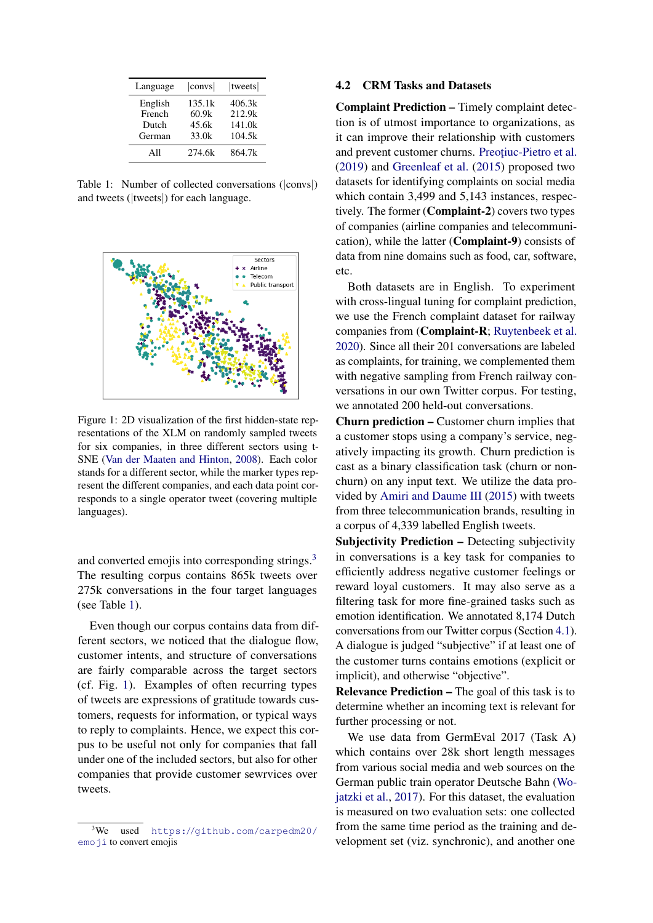<span id="page-2-2"></span>

| Language | $ {\rm conv}s $ | tweets |
|----------|-----------------|--------|
| English  | 135.1k          | 406.3k |
| French   | 60.9k           | 212.9k |
| Dutch    | 45.6k           | 141.0k |
| German   | 33.0k           | 104.5k |
| All      | 274.6k          | 864.7k |

Table 1: Number of collected conversations (|convs|) and tweets (|tweets|) for each language.

<span id="page-2-3"></span>

Figure 1: 2D visualization of the first hidden-state representations of the XLM on randomly sampled tweets for six companies, in three different sectors using t-SNE [\(Van der Maaten and Hinton,](#page-5-14) [2008\)](#page-5-14). Each color stands for a different sector, while the marker types represent the different companies, and each data point corresponds to a single operator tweet (covering multiple languages).

and converted emojis into corresponding strings.<sup>[3](#page-2-1)</sup> The resulting corpus contains 865k tweets over 275k conversations in the four target languages (see Table [1\)](#page-2-2).

Even though our corpus contains data from different sectors, we noticed that the dialogue flow, customer intents, and structure of conversations are fairly comparable across the target sectors (cf. Fig. [1\)](#page-2-3). Examples of often recurring types of tweets are expressions of gratitude towards customers, requests for information, or typical ways to reply to complaints. Hence, we expect this corpus to be useful not only for companies that fall under one of the included sectors, but also for other companies that provide customer sewrvices over tweets.

#### <span id="page-2-0"></span>4.2 CRM Tasks and Datasets

Complaint Prediction – Timely complaint detection is of utmost importance to organizations, as it can improve their relationship with customers and prevent customer churns. Preotiuc-Pietro et al. [\(2019\)](#page-5-15) and [Greenleaf et al.](#page-4-5) [\(2015\)](#page-4-5) proposed two datasets for identifying complaints on social media which contain 3,499 and 5,143 instances, respectively. The former (Complaint-2) covers two types of companies (airline companies and telecommunication), while the latter (Complaint-9) consists of data from nine domains such as food, car, software, etc.

Both datasets are in English. To experiment with cross-lingual tuning for complaint prediction, we use the French complaint dataset for railway companies from (Complaint-R; [Ruytenbeek et al.](#page-5-16) [2020\)](#page-5-16). Since all their 201 conversations are labeled as complaints, for training, we complemented them with negative sampling from French railway conversations in our own Twitter corpus. For testing, we annotated 200 held-out conversations.

Churn prediction – Customer churn implies that a customer stops using a company's service, negatively impacting its growth. Churn prediction is cast as a binary classification task (churn or nonchurn) on any input text. We utilize the data provided by [Amiri and Daume III](#page-4-6) [\(2015\)](#page-4-6) with tweets from three telecommunication brands, resulting in a corpus of 4,339 labelled English tweets.

Subjectivity Prediction – Detecting subjectivity in conversations is a key task for companies to efficiently address negative customer feelings or reward loyal customers. It may also serve as a filtering task for more fine-grained tasks such as emotion identification. We annotated 8,174 Dutch conversations from our Twitter corpus (Section [4.1\)](#page-1-0). A dialogue is judged "subjective" if at least one of the customer turns contains emotions (explicit or implicit), and otherwise "objective".

Relevance Prediction – The goal of this task is to determine whether an incoming text is relevant for further processing or not.

We use data from GermEval 2017 (Task A) which contains over 28k short length messages from various social media and web sources on the German public train operator Deutsche Bahn [\(Wo](#page-5-17)[jatzki et al.,](#page-5-17) [2017\)](#page-5-17). For this dataset, the evaluation is measured on two evaluation sets: one collected from the same time period as the training and development set (viz. synchronic), and another one

<span id="page-2-1"></span> $3$ We used [https://github.com/carpedm20/](https://github.com/carpedm20/emoji) [emoji](https://github.com/carpedm20/emoji) to convert emojis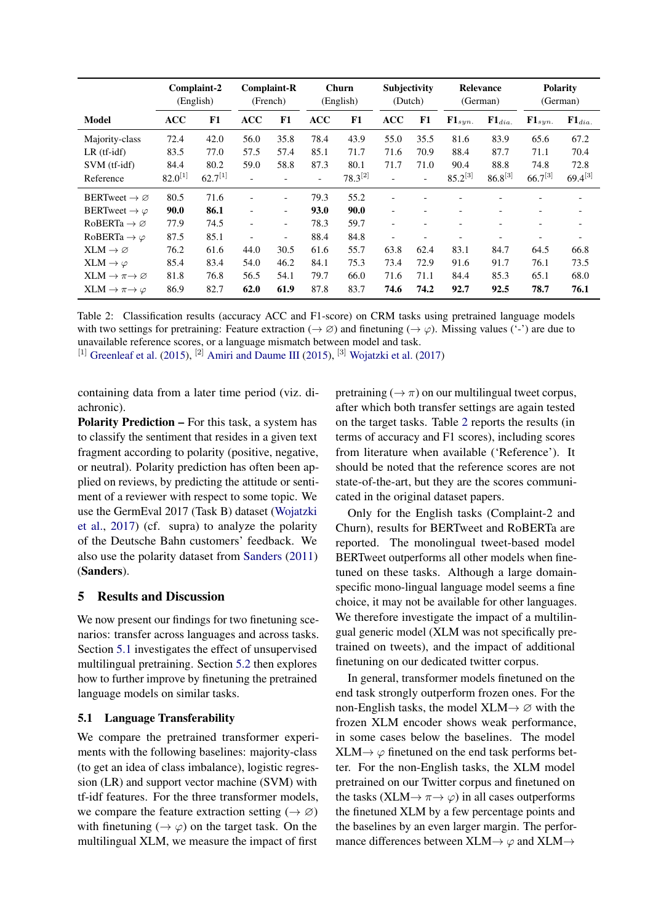<span id="page-3-2"></span>

|                                    |              | Complaint-2<br>(English) |                          | <b>Complaint-R</b><br>(French) |                          | Churn<br>(English) | <b>Subjectivity</b><br>(Dutch) |                |                   | Relevance<br>(German)    |                          | <b>Polarity</b><br>(German) |
|------------------------------------|--------------|--------------------------|--------------------------|--------------------------------|--------------------------|--------------------|--------------------------------|----------------|-------------------|--------------------------|--------------------------|-----------------------------|
| Model                              | <b>ACC</b>   | F1                       | ACC                      | F1                             | <b>ACC</b>               | F1                 | <b>ACC</b>                     | F1             | ${\bf F1}_{syn.}$ | ${\bf F1}_{dia.}$        | ${\bf F1}_{syn.}$        | ${\bf F1}_{dia.}$           |
| Majority-class                     | 72.4         | 42.0                     | 56.0                     | 35.8                           | 78.4                     | 43.9               | 55.0                           | 35.5           | 81.6              | 83.9                     | 65.6                     | 67.2                        |
| $LR$ (tf-idf)                      | 83.5         | 77.0                     | 57.5                     | 57.4                           | 85.1                     | 71.7               | 71.6                           | 70.9           | 88.4              | 87.7                     | 71.1                     | 70.4                        |
| SVM (tf-idf)                       | 84.4         | 80.2                     | 59.0                     | 58.8                           | 87.3                     | 80.1               | 71.7                           | 71.0           | 90.4              | 88.8                     | 74.8                     | 72.8                        |
| Reference                          | $82.0^{[1]}$ | $62.7^{[1]}$             |                          |                                | $\overline{\phantom{a}}$ | $78.3^{[2]}$       |                                | $\blacksquare$ | $85.2^{[3]}$      | $86.8^{[3]}$             | $66.7^{[3]}$             | $69.4^{[3]}$                |
| BERTweet $\rightarrow \varnothing$ | 80.5         | 71.6                     |                          | -                              | 79.3                     | 55.2               |                                |                |                   |                          |                          |                             |
| BERTweet $\rightarrow \varphi$     | 90.0         | 86.1                     | ٠                        | -                              | 93.0                     | 90.0               | $\overline{\phantom{a}}$       |                |                   |                          | $\overline{\phantom{a}}$ |                             |
| $RoBERTa \rightarrow \emptyset$    | 77.9         | 74.5                     | $\overline{\phantom{a}}$ | -                              | 78.3                     | 59.7               | $\overline{\phantom{a}}$       |                |                   |                          | $\overline{\phantom{0}}$ |                             |
| RoBERTa $\rightarrow \varphi$      | 87.5         | 85.1                     | $\overline{\phantom{0}}$ | -                              | 88.4                     | 84.8               | $\overline{\phantom{a}}$       |                | -                 | $\overline{\phantom{a}}$ |                          |                             |
| $XLM \rightarrow \varnothing$      | 76.2         | 61.6                     | 44.0                     | 30.5                           | 61.6                     | 55.7               | 63.8                           | 62.4           | 83.1              | 84.7                     | 64.5                     | 66.8                        |
| $XLM \rightarrow \varphi$          | 85.4         | 83.4                     | 54.0                     | 46.2                           | 84.1                     | 75.3               | 73.4                           | 72.9           | 91.6              | 91.7                     | 76.1                     | 73.5                        |
| $XLM \to \pi \to \varnothing$      | 81.8         | 76.8                     | 56.5                     | 54.1                           | 79.7                     | 66.0               | 71.6                           | 71.1           | 84.4              | 85.3                     | 65.1                     | 68.0                        |
| $XLM \to \pi \to \varphi$          | 86.9         | 82.7                     | 62.0                     | 61.9                           | 87.8                     | 83.7               | 74.6                           | 74.2           | 92.7              | 92.5                     | 78.7                     | 76.1                        |

Table 2: Classification results (accuracy ACC and F1-score) on CRM tasks using pretrained language models with two settings for pretraining: Feature extraction ( $\rightarrow \emptyset$ ) and finetuning ( $\rightarrow \emptyset$ ). Missing values ('-') are due to unavailable reference scores, or a language mismatch between model and task.

[1] [Greenleaf et al.](#page-4-5) [\(2015\)](#page-4-6), [2] [Amiri and Daume III](#page-4-6) (2015), [3] [Wojatzki et al.](#page-5-17) [\(2017\)](#page-5-17)

containing data from a later time period (viz. diachronic).

Polarity Prediction – For this task, a system has to classify the sentiment that resides in a given text fragment according to polarity (positive, negative, or neutral). Polarity prediction has often been applied on reviews, by predicting the attitude or sentiment of a reviewer with respect to some topic. We use the GermEval 2017 (Task B) dataset [\(Wojatzki](#page-5-17) [et al.,](#page-5-17) [2017\)](#page-5-17) (cf. supra) to analyze the polarity of the Deutsche Bahn customers' feedback. We also use the polarity dataset from [Sanders](#page-5-18) [\(2011\)](#page-5-18) (Sanders).

# <span id="page-3-0"></span>5 Results and Discussion

We now present our findings for two finetuning scenarios: transfer across languages and across tasks. Section [5.1](#page-3-1) investigates the effect of unsupervised multilingual pretraining. Section [5.2](#page-4-4) then explores how to further improve by finetuning the pretrained language models on similar tasks.

# <span id="page-3-1"></span>5.1 Language Transferability

We compare the pretrained transformer experiments with the following baselines: majority-class (to get an idea of class imbalance), logistic regression (LR) and support vector machine (SVM) with tf-idf features. For the three transformer models, we compare the feature extraction setting ( $\rightarrow \emptyset$ ) with finetuning ( $\rightarrow \varphi$ ) on the target task. On the multilingual XLM, we measure the impact of first

pretraining ( $\rightarrow \pi$ ) on our multilingual tweet corpus, after which both transfer settings are again tested on the target tasks. Table [2](#page-3-2) reports the results (in terms of accuracy and F1 scores), including scores from literature when available ('Reference'). It should be noted that the reference scores are not state-of-the-art, but they are the scores communicated in the original dataset papers.

Only for the English tasks (Complaint-2 and Churn), results for BERTweet and RoBERTa are reported. The monolingual tweet-based model BERTweet outperforms all other models when finetuned on these tasks. Although a large domainspecific mono-lingual language model seems a fine choice, it may not be available for other languages. We therefore investigate the impact of a multilingual generic model (XLM was not specifically pretrained on tweets), and the impact of additional finetuning on our dedicated twitter corpus.

In general, transformer models finetuned on the end task strongly outperform frozen ones. For the non-English tasks, the model  $XLM \rightarrow \emptyset$  with the frozen XLM encoder shows weak performance, in some cases below the baselines. The model  $XLM \rightarrow \varphi$  finetuned on the end task performs better. For the non-English tasks, the XLM model pretrained on our Twitter corpus and finetuned on the tasks (XLM $\rightarrow \pi \rightarrow \varphi$ ) in all cases outperforms the finetuned XLM by a few percentage points and the baselines by an even larger margin. The performance differences between  $XLM \rightarrow \varphi$  and  $XLM \rightarrow \varphi$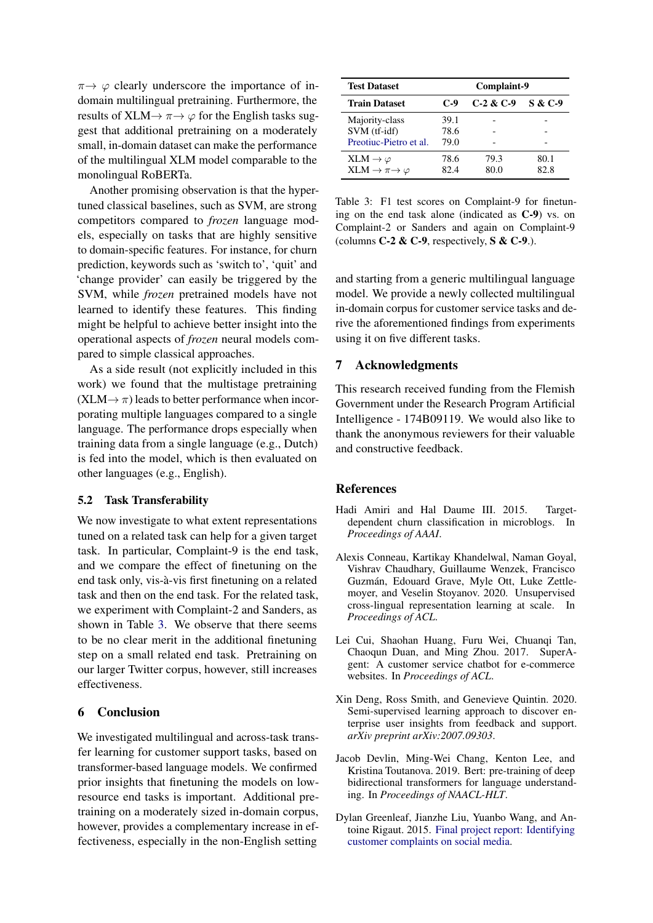$\pi \rightarrow \varphi$  clearly underscore the importance of indomain multilingual pretraining. Furthermore, the results of  $XLM \rightarrow \pi \rightarrow \varphi$  for the English tasks suggest that additional pretraining on a moderately small, in-domain dataset can make the performance of the multilingual XLM model comparable to the monolingual RoBERTa.

Another promising observation is that the hypertuned classical baselines, such as SVM, are strong competitors compared to *frozen* language models, especially on tasks that are highly sensitive to domain-specific features. For instance, for churn prediction, keywords such as 'switch to', 'quit' and 'change provider' can easily be triggered by the SVM, while *frozen* pretrained models have not learned to identify these features. This finding might be helpful to achieve better insight into the operational aspects of *frozen* neural models compared to simple classical approaches.

As a side result (not explicitly included in this work) we found that the multistage pretraining  $(XLM \rightarrow \pi)$  leads to better performance when incorporating multiple languages compared to a single language. The performance drops especially when training data from a single language (e.g., Dutch) is fed into the model, which is then evaluated on other languages (e.g., English).

# <span id="page-4-4"></span>5.2 Task Transferability

We now investigate to what extent representations tuned on a related task can help for a given target task. In particular, Complaint-9 is the end task, and we compare the effect of finetuning on the end task only, vis-à-vis first finetuning on a related task and then on the end task. For the related task, we experiment with Complaint-2 and Sanders, as shown in Table [3.](#page-4-7) We observe that there seems to be no clear merit in the additional finetuning step on a small related end task. Pretraining on our larger Twitter corpus, however, still increases effectiveness.

# 6 Conclusion

We investigated multilingual and across-task transfer learning for customer support tasks, based on transformer-based language models. We confirmed prior insights that finetuning the models on lowresource end tasks is important. Additional pretraining on a moderately sized in-domain corpus, however, provides a complementary increase in effectiveness, especially in the non-English setting

<span id="page-4-7"></span>

| <b>Test Dataset</b>                                            | Complaint-9          |              |                    |
|----------------------------------------------------------------|----------------------|--------------|--------------------|
| <b>Train Dataset</b>                                           | $C-9$                | $C-2 & C-9$  | <b>S &amp; C-9</b> |
| Majority-class<br>SVM (tf-idf)<br>Preotiuc-Pietro et al.       | 39.1<br>78.6<br>79.0 |              |                    |
| $XLM \to \varphi$<br>XLM $\rightarrow \pi \rightarrow \varphi$ | 78.6<br>82.4         | 79.3<br>80.0 | 80.1<br>82.8       |

Table 3: F1 test scores on Complaint-9 for finetuning on the end task alone (indicated as C-9) vs. on Complaint-2 or Sanders and again on Complaint-9 (columns  $C-2$  &  $C-9$ , respectively,  $S \& C-9$ .).

and starting from a generic multilingual language model. We provide a newly collected multilingual in-domain corpus for customer service tasks and derive the aforementioned findings from experiments using it on five different tasks.

# 7 Acknowledgments

This research received funding from the Flemish Government under the Research Program Artificial Intelligence - 174B09119. We would also like to thank the anonymous reviewers for their valuable and constructive feedback.

#### **References**

- <span id="page-4-6"></span>Hadi Amiri and Hal Daume III. 2015. Targetdependent churn classification in microblogs. In *Proceedings of AAAI*.
- <span id="page-4-3"></span>Alexis Conneau, Kartikay Khandelwal, Naman Goyal, Vishrav Chaudhary, Guillaume Wenzek, Francisco Guzmán, Edouard Grave, Myle Ott, Luke Zettlemoyer, and Veselin Stoyanov. 2020. Unsupervised cross-lingual representation learning at scale. In *Proceedings of ACL*.
- <span id="page-4-0"></span>Lei Cui, Shaohan Huang, Furu Wei, Chuanqi Tan, Chaoqun Duan, and Ming Zhou. 2017. SuperAgent: A customer service chatbot for e-commerce websites. In *Proceedings of ACL*.
- <span id="page-4-2"></span>Xin Deng, Ross Smith, and Genevieve Quintin. 2020. Semi-supervised learning approach to discover enterprise user insights from feedback and support. *arXiv preprint arXiv:2007.09303*.
- <span id="page-4-1"></span>Jacob Devlin, Ming-Wei Chang, Kenton Lee, and Kristina Toutanova. 2019. Bert: pre-training of deep bidirectional transformers for language understanding. In *Proceedings of NAACL-HLT*.
- <span id="page-4-5"></span>Dylan Greenleaf, Jianzhe Liu, Yuanbo Wang, and Antoine Rigaut. 2015. [Final project report: Identifying](https://github.com/RigautAntoine/twitter-customer-service) [customer complaints on social media.](https://github.com/RigautAntoine/twitter-customer-service)